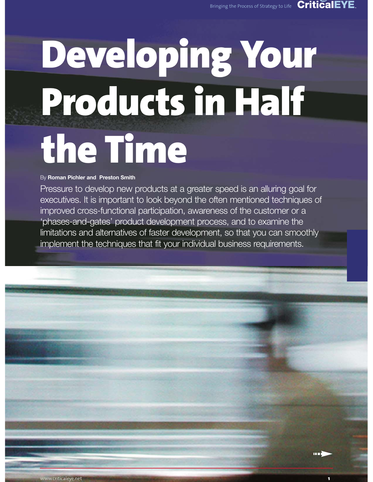# Developing Your Products in Half the Time

#### By **Roman Pichler and Preston Smith**

Pressure to develop new products at a greater speed is an alluring goal for executives. It is important to look beyond the often mentioned techniques of improved cross-functional participation, awareness of the customer or a 'phases-and-gates' product development process, and to examine the limitations and alternatives of faster development, so that you can smoothly implement the techniques that fit your individual business requirements.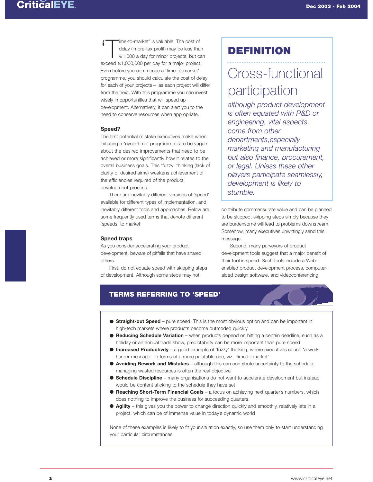# **CriticalEYE**

 $\left\{\begin{array}{c}\text{The-to-market' is valuable. The cost of delay (in pre-tax profit) may be less than 61,000 a day for minor projects, but is proved 61,000,000 per day for a major project.} \end{array}\right.$ delay (in pre-tax profit) may be less than €1,000 a day for minor projects, but can exceed €1,000,000 per day for a major project. Even before you commence a 'time-to-market' programme, you should calculate the cost of delay for each of your projects— as each project will differ from the next. With this programme you can invest wisely in opportunities that will speed up development. Alternatively, it can alert you to the need to conserve resources when appropriate.

#### **Speed?**

The first potential mistake executives make when initiating a 'cycle-time' programme is to be vague about the desired improvements that need to be achieved or more significantly how it relates to the overall business goals. This 'fuzzy' thinking (lack of clarity of desired aims) weakens achievement of the efficiencies required of the product development process.

There are inevitably different versions of 'speed' available for different types of implementation, and inevitably different tools and approaches. Below are some frequently used terms that denote different 'speeds' to market:

#### **Speed traps**

As you consider accelerating your product development, beware of pitfalls that have snared others.

First, do not equate speed with skipping steps of development. Although some steps may not

# DEFINITION

# Cross-functional participation

*although product development is often equated with R&D or engineering, vital aspects come from other departments,especially marketing and manufacturing but also finance, procurement, or legal. Unless these other players participate seamlessly, development is likely to stumble.*

contribute commensurate value and can be planned to be skipped, skipping steps simply because they are burdensome will lead to problems downstream. Somehow, many executives unwittingly send this message.

Second, many purveyors of product development tools suggest that a major benefit of their tool is speed. Such tools include a Webenabled product development process, computeraided design software, and videoconferencing.

#### TERMS REFERRING TO 'SPEED'

- **Straight-out Speed** pure speed. This is the most obvious option and can be important in high-tech markets where products become outmoded quickly
- **Reducing Schedule Variation** when products depend on hitting a certain deadline, such as a holiday or an annual trade show, predictability can be more important than pure speed
- **Increased Productivity** a good example of 'fuzzy' thinking, where executives couch 'a workharder message' in terms of a more palatable one, viz. 'time to market'
- **Avoiding Rework and Mistakes** although this can contribute uncertainty to the schedule, managing wasted resources is often the real objective
- **Schedule Discipline** many organisations do not want to accelerate development but instead would be content sticking to the schedule they have set
- **Reaching Short-Term Financial Goals** a focus on achieving next quarter's numbers, which does nothing to improve the business for succeeding quarters
- **Agility** this gives you the power to change direction quickly and smoothly, relatively late in a project, which can be of immense value in today's dynamic world

None of these examples is likely to fit your situation exactly, so use them only to start understanding your particular circumstances.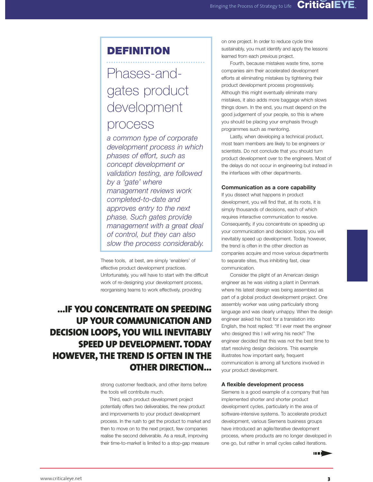### Bringing the Process of Strategy to Life **CriticalEYE**

## DEFINITION

# Phases-andgates product development process

*a common type of corporate development process in which phases of effort, such as concept development or validation testing, are followed by a 'gate' where management reviews work completed-to-date and approves entry to the next phase. Such gates provide management with a great deal of control, but they can also slow the process considerably.*

These tools, at best, are simply 'enablers' of effective product development practices. Unfortunately, you will have to start with the difficult work of re-designing your development process, reorganising teams to work effectively, providing

# …IF YOU CONCENTRATE ON SPEEDING UP YOUR COMMUNICATION AND DECISION LOOPS, YOU WILL INEVITABLY SPEED UP DEVELOPMENT. TODAY HOWEVER, THE TREND IS OFTEN IN THE OTHER DIRECTION…

strong customer feedback, and other items before the tools will contribute much.

Third, each product development project potentially offers two deliverables, the new product and improvements to your product development process. In the rush to get the product to market and then to move on to the next project, few companies realise the second deliverable. As a result, improving their time-to-market is limited to a stop-gap measure

on one project. In order to reduce cycle time sustainably, you must identify and apply the lessons learned from each previous project.

Fourth, because mistakes waste time, some companies aim their accelerated development efforts at eliminating mistakes by tightening their product development process progressively. Although this might eventually eliminate many mistakes, it also adds more baggage which slows things down. In the end, you must depend on the good judgement of your people, so this is where you should be placing your emphasis through programmes such as mentoring.

Lastly, when developing a technical product, most team members are likely to be engineers or scientists. Do not conclude that you should turn product development over to the engineers. Most of the delays do not occur in engineering but instead in the interfaces with other departments.

#### **Communication as a core capability**

If you dissect what happens in product development, you will find that, at its roots, it is simply thousands of decisions, each of which requires interactive communication to resolve. Consequently, if you concentrate on speeding up your communication and decision loops, you will inevitably speed up development. Today however, the trend is often in the other direction as companies acquire and move various departments to separate sites, thus inhibiting fast, clear communication.

Consider the plight of an American design engineer as he was visiting a plant in Denmark where his latest design was being assembled as part of a global product development project. One assembly worker was using particularly strong language and was clearly unhappy. When the design engineer asked his host for a translation into English, the host replied: "If I ever meet the engineer who designed this I will wring his neck!" The engineer decided that this was not the best time to start resolving design decisions. This example illustrates how important early, frequent communication is among all functions involved in your product development.

#### **A flexible development process**

Siemens is a good example of a company that has implemented shorter and shorter product development cycles, particularly in the area of software-intensive systems. To accelerate product development, various Siemens business groups have introduced an agile/iterative development process, where products are no longer developed in one go, but rather in small cycles called iterations.

m)